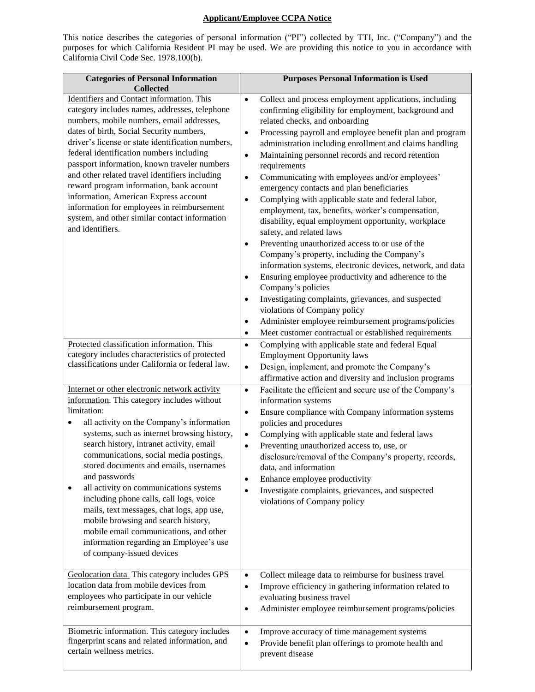## **Applicant/Employee CCPA Notice**

This notice describes the categories of personal information ("PI") collected by TTI, Inc. ("Company") and the purposes for which California Resident PI may be used. We are providing this notice to you in accordance with California Civil Code Sec. 1978.100(b).

| <b>Categories of Personal Information</b><br><b>Collected</b>                                                                                                                                                                                                                                                                                                                                                                                                                                                                                                                                                                                            | <b>Purposes Personal Information is Used</b>                                                                                                                                                                                                                                                                                                                                                                                                                                                                                                                                                                                                                                                                                                                                                                                                                                                                                                                                                                                                                                                                                                                                                                                      |
|----------------------------------------------------------------------------------------------------------------------------------------------------------------------------------------------------------------------------------------------------------------------------------------------------------------------------------------------------------------------------------------------------------------------------------------------------------------------------------------------------------------------------------------------------------------------------------------------------------------------------------------------------------|-----------------------------------------------------------------------------------------------------------------------------------------------------------------------------------------------------------------------------------------------------------------------------------------------------------------------------------------------------------------------------------------------------------------------------------------------------------------------------------------------------------------------------------------------------------------------------------------------------------------------------------------------------------------------------------------------------------------------------------------------------------------------------------------------------------------------------------------------------------------------------------------------------------------------------------------------------------------------------------------------------------------------------------------------------------------------------------------------------------------------------------------------------------------------------------------------------------------------------------|
| Identifiers and Contact information. This<br>category includes names, addresses, telephone<br>numbers, mobile numbers, email addresses,<br>dates of birth, Social Security numbers,<br>driver's license or state identification numbers,<br>federal identification numbers including<br>passport information, known traveler numbers<br>and other related travel identifiers including<br>reward program information, bank account<br>information, American Express account<br>information for employees in reimbursement<br>system, and other similar contact information<br>and identifiers.                                                           | Collect and process employment applications, including<br>$\bullet$<br>confirming eligibility for employment, background and<br>related checks, and onboarding<br>Processing payroll and employee benefit plan and program<br>$\bullet$<br>administration including enrollment and claims handling<br>Maintaining personnel records and record retention<br>$\bullet$<br>requirements<br>Communicating with employees and/or employees'<br>$\bullet$<br>emergency contacts and plan beneficiaries<br>Complying with applicable state and federal labor,<br>$\bullet$<br>employment, tax, benefits, worker's compensation,<br>disability, equal employment opportunity, workplace<br>safety, and related laws<br>Preventing unauthorized access to or use of the<br>$\bullet$<br>Company's property, including the Company's<br>information systems, electronic devices, network, and data<br>Ensuring employee productivity and adherence to the<br>$\bullet$<br>Company's policies<br>Investigating complaints, grievances, and suspected<br>$\bullet$<br>violations of Company policy<br>Administer employee reimbursement programs/policies<br>$\bullet$<br>Meet customer contractual or established requirements<br>$\bullet$ |
| Protected classification information. This<br>category includes characteristics of protected<br>classifications under California or federal law.                                                                                                                                                                                                                                                                                                                                                                                                                                                                                                         | Complying with applicable state and federal Equal<br>$\bullet$<br><b>Employment Opportunity laws</b><br>Design, implement, and promote the Company's<br>$\bullet$<br>affirmative action and diversity and inclusion programs                                                                                                                                                                                                                                                                                                                                                                                                                                                                                                                                                                                                                                                                                                                                                                                                                                                                                                                                                                                                      |
| Internet or other electronic network activity<br>information. This category includes without<br>limitation:<br>all activity on the Company's information<br>systems, such as internet browsing history,<br>search history, intranet activity, email<br>communications, social media postings,<br>stored documents and emails, usernames<br>and passwords<br>all activity on communications systems<br>٠<br>including phone calls, call logs, voice<br>mails, text messages, chat logs, app use,<br>mobile browsing and search history,<br>mobile email communications, and other<br>information regarding an Employee's use<br>of company-issued devices | Facilitate the efficient and secure use of the Company's<br>$\bullet$<br>information systems<br>Ensure compliance with Company information systems<br>$\bullet$<br>policies and procedures<br>Complying with applicable state and federal laws<br>$\bullet$<br>Preventing unauthorized access to, use, or<br>$\bullet$<br>disclosure/removal of the Company's property, records,<br>data, and information<br>Enhance employee productivity<br>$\bullet$<br>Investigate complaints, grievances, and suspected<br>$\bullet$<br>violations of Company policy                                                                                                                                                                                                                                                                                                                                                                                                                                                                                                                                                                                                                                                                         |
| Geolocation data This category includes GPS<br>location data from mobile devices from<br>employees who participate in our vehicle<br>reimbursement program.                                                                                                                                                                                                                                                                                                                                                                                                                                                                                              | Collect mileage data to reimburse for business travel<br>$\bullet$<br>Improve efficiency in gathering information related to<br>$\bullet$<br>evaluating business travel<br>Administer employee reimbursement programs/policies<br>$\bullet$                                                                                                                                                                                                                                                                                                                                                                                                                                                                                                                                                                                                                                                                                                                                                                                                                                                                                                                                                                                       |
| Biometric information. This category includes<br>fingerprint scans and related information, and<br>certain wellness metrics.                                                                                                                                                                                                                                                                                                                                                                                                                                                                                                                             | Improve accuracy of time management systems<br>$\bullet$<br>Provide benefit plan offerings to promote health and<br>$\bullet$<br>prevent disease                                                                                                                                                                                                                                                                                                                                                                                                                                                                                                                                                                                                                                                                                                                                                                                                                                                                                                                                                                                                                                                                                  |